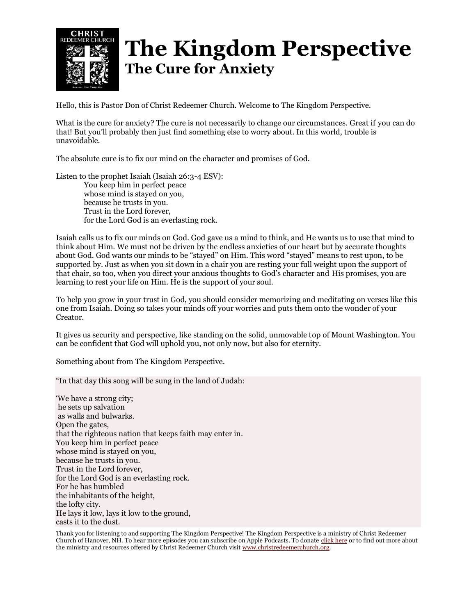

## **The Kingdom Perspective The Cure for Anxiety**

Hello, this is Pastor Don of Christ Redeemer Church. Welcome to The Kingdom Perspective.

What is the cure for anxiety? The cure is not necessarily to change our circumstances. Great if you can do that! But you'll probably then just find something else to worry about. In this world, trouble is unavoidable.

The absolute cure is to fix our mind on the character and promises of God.

Listen to the prophet Isaiah (Isaiah 26:3-4 ESV): You keep him in perfect peace whose mind is stayed on you, because he trusts in you. Trust in the Lord forever, for the Lord God is an everlasting rock.

Isaiah calls us to fix our minds on God. God gave us a mind to think, and He wants us to use that mind to think about Him. We must not be driven by the endless anxieties of our heart but by accurate thoughts about God. God wants our minds to be "stayed" on Him. This word "stayed" means to rest upon, to be supported by. Just as when you sit down in a chair you are resting your full weight upon the support of that chair, so too, when you direct your anxious thoughts to God's character and His promises, you are learning to rest your life on Him. He is the support of your soul.

To help you grow in your trust in God, you should consider memorizing and meditating on verses like this one from Isaiah. Doing so takes your minds off your worries and puts them onto the wonder of your Creator.

It gives us security and perspective, like standing on the solid, unmovable top of Mount Washington. You can be confident that God will uphold you, not only now, but also for eternity.

Something about from The Kingdom Perspective.

"In that day this song will be sung in the land of Judah:

'We have a strong city; he sets up salvation as walls and bulwarks. Open the gates, that the righteous nation that keeps faith may enter in. You keep him in perfect peace whose mind is stayed on you, because he trusts in you. Trust in the Lord forever, for the Lord God is an everlasting rock. For he has humbled the inhabitants of the height, the lofty city. He lays it low, lays it low to the ground, casts it to the dust.

Thank you for listening to and supporting The Kingdom Perspective! The Kingdom Perspective is a ministry of Christ Redeemer Church of Hanover, NH. To hear more episodes you can subscribe on Apple Podcasts. To donate [click](https://onrealm.org/ChristRedeemerChurch/give/offering) here or to find out more about the ministry and resources offered by Christ Redeemer Church visit [www.christredeemerchurch.org.](http://www.christredeemerchurch.org/)